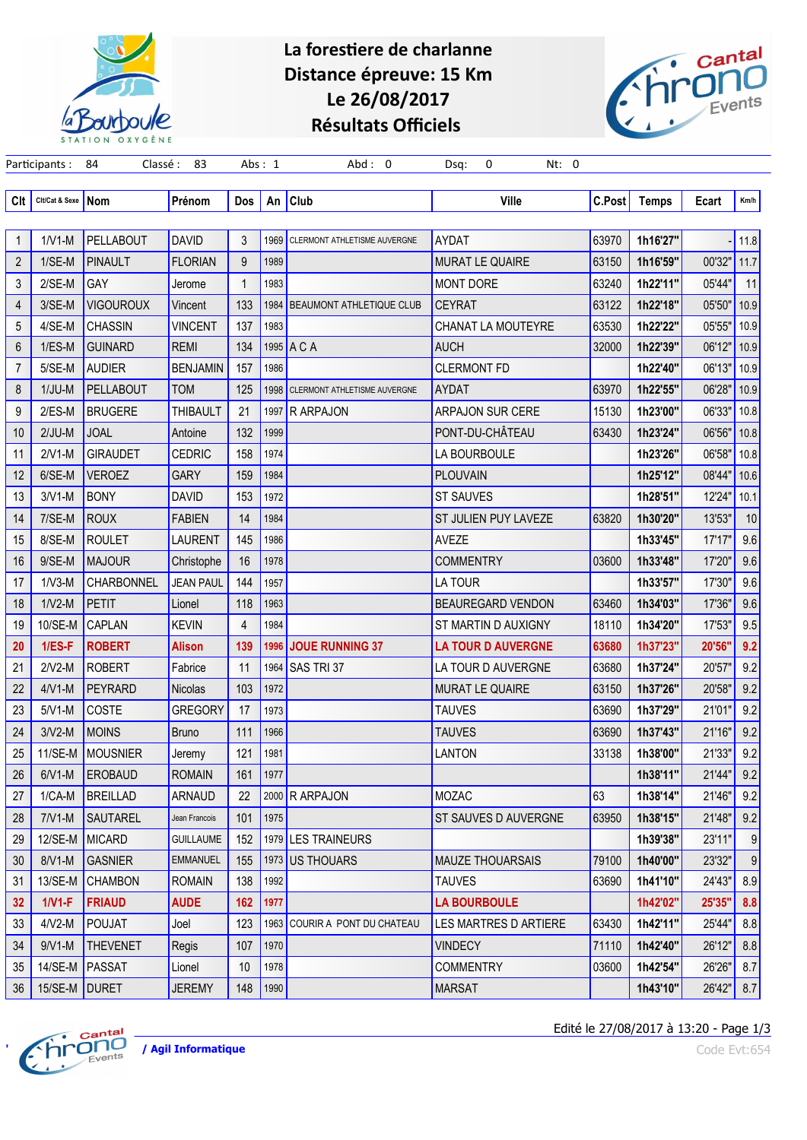

## La forestiere de charlanne Distance épreuve: 15 Km Le 26/08/2017 Résultats Officiels

Participants : 84 Classé : 83 Abs : 1 Abd : 0 Dsq: 0 Nt: 0



| Clt            | Cit/Cat & Sexe | Nom              | Prénom           | Dos          | An   | <b>Club</b>                       | <b>Ville</b>                 | <b>C.Post</b> | <b>Temps</b> | Ecart  | Km/h |
|----------------|----------------|------------------|------------------|--------------|------|-----------------------------------|------------------------------|---------------|--------------|--------|------|
|                |                |                  |                  |              |      |                                   |                              |               |              |        |      |
| 1              | $1/V1-M$       | <b>PELLABOUT</b> | <b>DAVID</b>     | 3            |      | 1969 CLERMONT ATHLETISME AUVERGNE | AYDAT                        | 63970         | 1h16'27"     |        | 11.8 |
| $\overline{2}$ | $1/SE-M$       | <b>PINAULT</b>   | <b>FLORIAN</b>   | 9            | 1989 |                                   | <b>MURAT LE QUAIRE</b>       | 63150         | 1h16'59"     | 00'32" | 11.7 |
| 3              | $2/SE-M$       | GAY              | Jerome           | $\mathbf{1}$ | 1983 |                                   | <b>MONT DORE</b>             | 63240         | 1h22'11"     | 05'44" | 11   |
| 4              | 3/SE-M         | <b>VIGOUROUX</b> | Vincent          | 133          |      | 1984   BEAUMONT ATHLETIQUE CLUB   | <b>CEYRAT</b>                | 63122         | 1h22'18"     | 05'50" | 10.9 |
| 5              | 4/SE-M         | <b>CHASSIN</b>   | <b>VINCENT</b>   | 137          | 1983 |                                   | <b>CHANAT LA MOUTEYRE</b>    | 63530         | 1h22'22"     | 05'55" | 10.9 |
| 6              | $1/ES-M$       | <b>GUINARD</b>   | <b>REMI</b>      | 134          |      | 1995 A C A                        | <b>AUCH</b>                  | 32000         | 1h22'39"     | 06'12" | 10.9 |
| $\overline{7}$ | 5/SE-M         | <b>AUDIER</b>    | <b>BENJAMIN</b>  | 157          | 1986 |                                   | <b>CLERMONT FD</b>           |               | 1h22'40"     | 06'13" | 10.9 |
| 8              | $1/JU-M$       | <b>PELLABOUT</b> | <b>TOM</b>       | 125          | 1998 | CLERMONT ATHLETISME AUVERGNE      | AYDAT                        | 63970         | 1h22'55"     | 06'28" | 10.9 |
| 9              | $2/ES-M$       | <b>BRUGERE</b>   | <b>THIBAULT</b>  | 21           | 1997 | <b>R ARPAJON</b>                  | <b>ARPAJON SUR CERE</b>      | 15130         | 1h23'00"     | 06'33" | 10.8 |
| 10             | $2/JU-M$       | <b>JOAL</b>      | Antoine          | 132          | 1999 |                                   | PONT-DU-CHÂTEAU              | 63430         | 1h23'24"     | 06'56" | 10.8 |
| 11             | $2/V1-M$       | <b>GIRAUDET</b>  | <b>CEDRIC</b>    | 158          | 1974 |                                   | LA BOURBOULE                 |               | 1h23'26"     | 06'58" | 10.8 |
| 12             | 6/SE-M         | <b>VEROEZ</b>    | <b>GARY</b>      | 159          | 1984 |                                   | <b>PLOUVAIN</b>              |               | 1h25'12"     | 08'44" | 10.6 |
| 13             | $3/V1-M$       | <b>BONY</b>      | <b>DAVID</b>     | 153          | 1972 |                                   | <b>ST SAUVES</b>             |               | 1h28'51"     | 12'24" | 10.1 |
| 14             | 7/SE-M         | <b>ROUX</b>      | <b>FABIEN</b>    | 14           | 1984 |                                   | ST JULIEN PUY LAVEZE         | 63820         | 1h30'20"     | 13'53" | 10   |
| 15             | 8/SE-M         | <b>ROULET</b>    | LAURENT          | 145          | 1986 |                                   | AVEZE                        |               | 1h33'45"     | 17'17" | 9.6  |
| 16             | 9/SE-M         | <b>MAJOUR</b>    | Christophe       | 16           | 1978 |                                   | <b>COMMENTRY</b>             | 03600         | 1h33'48"     | 17'20" | 9.6  |
| 17             | $1/V3-M$       | CHARBONNEL       | <b>JEAN PAUL</b> | 144          | 1957 |                                   | <b>LA TOUR</b>               |               | 1h33'57"     | 17'30" | 9.6  |
| 18             | $1/V2-M$       | <b>PETIT</b>     | Lionel           | 118          | 1963 |                                   | <b>BEAUREGARD VENDON</b>     | 63460         | 1h34'03"     | 17'36" | 9.6  |
| 19             | 10/SE-M        | <b>CAPLAN</b>    | <b>KEVIN</b>     | 4            | 1984 |                                   | ST MARTIN D AUXIGNY          | 18110         | 1h34'20"     | 17'53" | 9.5  |
| 20             | $1/ES-F$       | <b>ROBERT</b>    | <b>Alison</b>    | 139          | 1996 | JOUE RUNNING 37                   | <b>LA TOUR D AUVERGNE</b>    | 63680         | 1h37'23"     | 20'56" | 9.2  |
| 21             | $2/V2-M$       | <b>ROBERT</b>    | Fabrice          | 11           | 1964 | SAS TRI37                         | LA TOUR D AUVERGNE           | 63680         | 1h37'24"     | 20'57" | 9.2  |
| 22             | $4/V1-M$       | PEYRARD          | Nicolas          | 103          | 1972 |                                   | <b>MURAT LE QUAIRE</b>       | 63150         | 1h37'26"     | 20'58" | 9.2  |
| 23             | $5/V1-M$       | <b>COSTE</b>     | <b>GREGORY</b>   | 17           | 1973 |                                   | <b>TAUVES</b>                | 63690         | 1h37'29"     | 21'01" | 9.2  |
| 24             | $3/V2-M$       | <b>MOINS</b>     | <b>Bruno</b>     | 111          | 1966 |                                   | <b>TAUVES</b>                | 63690         | 1h37'43"     | 21'16" | 9.2  |
| 25             | 11/SE-M        | MOUSNIER         | Jeremy           | 121          | 1981 |                                   | <b>LANTON</b>                | 33138         | 1h38'00"     | 21'33" | 9.2  |
| 26             | $6/V1-M$       | <b>EROBAUD</b>   | <b>ROMAIN</b>    | 161          | 1977 |                                   |                              |               | 1h38'11"     | 21'44" | 9.2  |
| 27             | $1/CA-M$       | <b>BREILLAD</b>  | <b>ARNAUD</b>    | 22           |      | 2000 R ARPAJON                    | MOZAC                        | 63            | 1h38'14"     | 21'46" | 9.2  |
| 28             | $7/V1-M$       | SAUTAREL         | Jean Francois    | 101          | 1975 |                                   | ST SAUVES D AUVERGNE         | 63950         | 1h38'15"     | 21'48" | 9.2  |
| 29             | 12/SE-M        | MICARD           | <b>GUILLAUME</b> | 152          |      | 1979 LES TRAINEURS                |                              |               | 1h39'38"     | 23'11" | 9    |
| 30             | $8/V1-M$       | <b>GASNIER</b>   | <b>EMMANUEL</b>  | 155          |      | 1973 US THOUARS                   | <b>MAUZE THOUARSAIS</b>      | 79100         | 1h40'00"     | 23'32" | 9    |
| 31             | 13/SE-M        | <b>CHAMBON</b>   | <b>ROMAIN</b>    | 138          | 1992 |                                   | <b>TAUVES</b>                | 63690         | 1h41'10"     | 24'43" | 8.9  |
| 32             | $1/V1-F$       | <b>FRIAUD</b>    | <b>AUDE</b>      | 162          | 1977 |                                   | <b>LA BOURBOULE</b>          |               | 1h42'02"     | 25'35" | 8.8  |
| 33             | $4/V2-M$       | <b>POUJAT</b>    | Joel             | 123          |      | 1963 COURIR A PONT DU CHATEAU     | <b>LES MARTRES D ARTIERE</b> | 63430         | 1h42'11"     | 25'44" | 8.8  |
| 34             | $9/V1-M$       | <b>THEVENET</b>  | Regis            | 107          | 1970 |                                   | <b>VINDECY</b>               | 71110         | 1h42'40"     | 26'12" | 8.8  |
| 35             | 14/SE-M        | PASSAT           | Lionel           | 10           | 1978 |                                   | <b>COMMENTRY</b>             | 03600         | 1h42'54"     | 26'26" | 8.7  |
| 36             | 15/SE-M        | DURET            | <b>JEREMY</b>    | 148          | 1990 |                                   | <b>MARSAT</b>                |               | 1h43'10"     | 26'42" | 8.7  |



Edité le 27/08/2017 à 13:20 - Page 1/3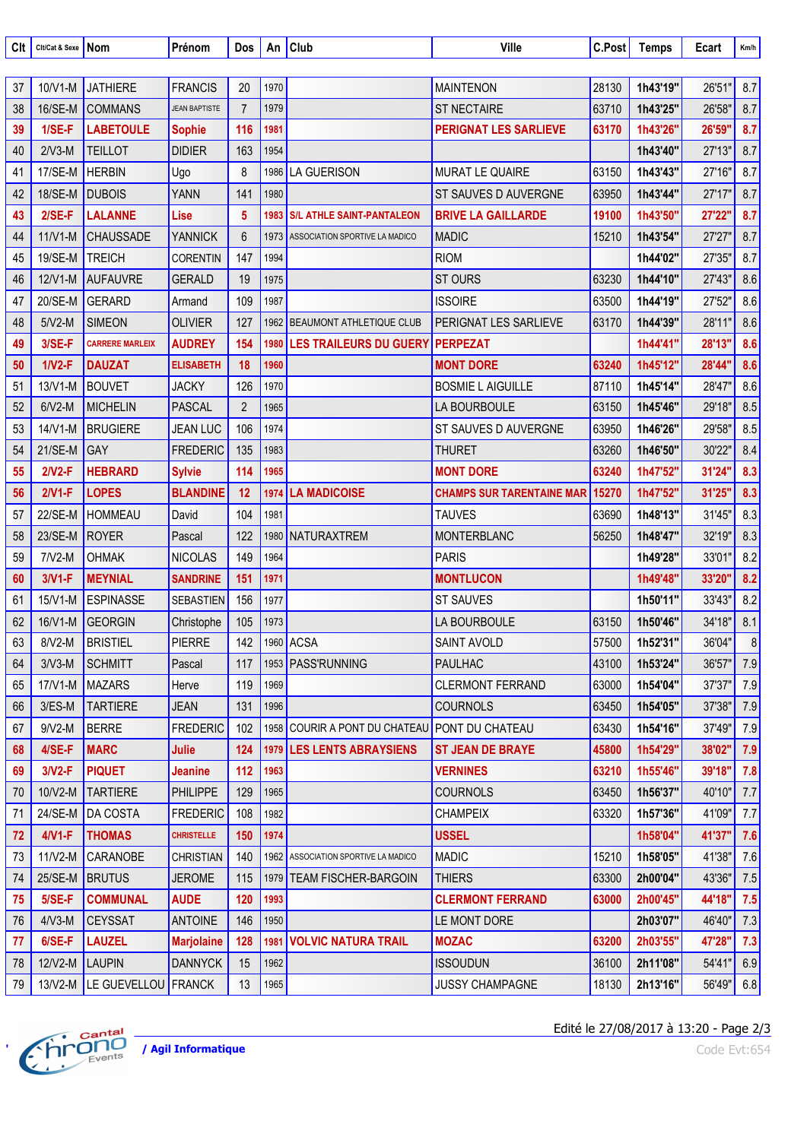| Clt | Cit/Cat & Sexe | <b>Nom</b>             | Prénom               | Dos            |      | An $ $ Club                           | Ville                            | C.Post | <b>Temps</b>   | Ecart  | Km/h |
|-----|----------------|------------------------|----------------------|----------------|------|---------------------------------------|----------------------------------|--------|----------------|--------|------|
|     |                |                        |                      |                |      |                                       |                                  |        |                |        |      |
| 37  | 10/V1-M        | <b>JATHIERE</b>        | <b>FRANCIS</b>       | 20             | 1970 |                                       | <b>MAINTENON</b>                 | 28130  | 1h43'19"       | 26'51" | 8.7  |
| 38  | 16/SE-M        | <b>COMMANS</b>         | <b>JEAN BAPTISTE</b> | $\overline{7}$ | 1979 |                                       | <b>ST NECTAIRE</b>               | 63710  | 1h43'25'       | 26'58" | 8.7  |
| 39  | $1/SE-F$       | <b>LABETOULE</b>       | <b>Sophie</b>        | 116            | 1981 |                                       | <b>PERIGNAT LES SARLIEVE</b>     | 63170  | 1h43'26'       | 26'59" | 8.7  |
| 40  | $2/V3-M$       | <b>TEILLOT</b>         | <b>DIDIER</b>        | 163            | 1954 |                                       |                                  |        | 1h43'40"       | 27'13" | 8.7  |
| 41  | 17/SE-M        | <b>HERBIN</b>          | Ugo                  | 8              | 1986 | LA GUERISON                           | <b>MURAT LE QUAIRE</b>           | 63150  | 1h43'43"       | 27'16" | 8.7  |
| 42  | 18/SE-M        | <b>DUBOIS</b>          | <b>YANN</b>          | 141            | 1980 |                                       | ST SAUVES D AUVERGNE             | 63950  | 1h43'44"       | 27'17" | 8.7  |
| 43  | $2/SE-F$       | <b>LALANNE</b>         | Lise                 | 5              | 1983 | <b>S/L ATHLE SAINT-PANTALEON</b>      | <b>BRIVE LA GAILLARDE</b>        | 19100  | 1h43'50'       | 27'22" | 8.7  |
| 44  | $11/V1-M$      | <b>CHAUSSADE</b>       | <b>YANNICK</b>       | 6              | 1973 | ASSOCIATION SPORTIVE LA MADICO        | <b>MADIC</b>                     | 15210  | 1h43'54"       | 27'27" | 8.7  |
| 45  | 19/SE-M        | <b>TREICH</b>          | <b>CORENTIN</b>      | 147            | 1994 |                                       | <b>RIOM</b>                      |        | 1h44'02"       | 27'35" | 8.7  |
| 46  | 12/V1-M        | <b>AUFAUVRE</b>        | <b>GERALD</b>        | 19             | 1975 |                                       | <b>ST OURS</b>                   | 63230  | 1h44'10"       | 27'43" | 8.6  |
| 47  | 20/SE-M        | <b>GERARD</b>          | Armand               | 109            | 1987 |                                       | <b>ISSOIRE</b>                   | 63500  | 1h44'19"       | 27'52" | 8.6  |
| 48  | $5/V2-M$       | <b>SIMEON</b>          | <b>OLIVIER</b>       | 127            |      | 1962 BEAUMONT ATHLETIQUE CLUB         | PERIGNAT LES SARLIEVE            | 63170  | 1h44'39"       | 28'11" | 8.6  |
| 49  | $3/SE-F$       | <b>CARRERE MARLEIX</b> | <b>AUDREY</b>        | 154            | 1980 | <b>LES TRAILEURS DU GUERY</b>         | <b>PERPEZAT</b>                  |        | 1h44'41'       | 28'13" | 8.6  |
| 50  | $1/V2-F$       | <b>DAUZAT</b>          | <b>ELISABETH</b>     | 18             | 1960 |                                       | <b>MONT DORE</b>                 | 63240  | 1h45'12"       | 28'44" | 8.6  |
| 51  | 13/V1-M        | <b>BOUVET</b>          | <b>JACKY</b>         | 126            | 1970 |                                       | <b>BOSMIE L AIGUILLE</b>         | 87110  | 1h45'14"       | 28'47" | 8.6  |
| 52  | $6/V2-M$       | <b>MICHELIN</b>        | <b>PASCAL</b>        | $\overline{2}$ | 1965 |                                       | LA BOURBOULE                     | 63150  | 1h45'46"       | 29'18" | 8.5  |
| 53  | 14/V1-M        | <b>BRUGIERE</b>        | <b>JEAN LUC</b>      | 106            | 1974 |                                       | ST SAUVES D AUVERGNE             | 63950  | 1h46'26"       | 29'58" | 8.5  |
| 54  | 21/SE-M        | GAY                    | <b>FREDERIC</b>      | 135            | 1983 |                                       | <b>THURET</b>                    | 63260  | 1h46'50"       | 30'22" | 8.4  |
| 55  | $2/V2-F$       | <b>HEBRARD</b>         | <b>Sylvie</b>        | 114            | 1965 |                                       | <b>MONT DORE</b>                 | 63240  | 1h47'52"       | 31'24" | 8.3  |
| 56  | $2/V1-F$       | <b>LOPES</b>           | <b>BLANDINE</b>      | 12             | 1974 | <b>LA MADICOISE</b>                   | <b>CHAMPS SUR TARENTAINE MAR</b> | 15270  | 1h47'52"       | 31'25" | 8.3  |
| 57  | 22/SE-M        | <b>HOMMEAU</b>         | David                | 104            | 1981 |                                       | <b>TAUVES</b>                    | 63690  | 1h48'13"       | 31'45" | 8.3  |
| 58  | 23/SE-M        | <b>ROYER</b>           | Pascal               | 122            | 1980 | NATURAXTREM                           | <b>MONTERBLANC</b>               | 56250  | 1h48'47"       | 32'19" | 8.3  |
| 59  | $7/V2-M$       | <b>OHMAK</b>           | <b>NICOLAS</b>       | 149            | 1964 |                                       | <b>PARIS</b>                     |        | 1h49'28"       | 33'01" | 8.2  |
| 60  | $3/V1-F$       | <b>MEYNIAL</b>         | <b>SANDRINE</b>      | 151            | 1971 |                                       | <b>MONTLUCON</b>                 |        | 1h49'48'       | 33'20" | 8.2  |
| 61  | 15/V1-M        | <b>ESPINASSE</b>       | SEBASTIEN            | 156            | 1977 |                                       | <b>ST SAUVES</b>                 |        | 1h50'11"       | 33'43" | 8.2  |
| 62  | 16/V1-M        | GEORGIN                | Christophe           | 105            | 1973 |                                       | LA BOURBOULE                     | 63150  | 1h50'46"       | 34'18" | 8.1  |
| 63  | 8/V2-M         | BRISTIEL               | PIERRE               | 142            |      | 1960 ACSA                             | SAINT AVOLD                      |        | 57500 1h52'31" | 36'04" | 8    |
| 64  | $3/V3-M$       | <b>SCHMITT</b>         | Pascal               | 117            |      | 1953 PASS'RUNNING                     | <b>PAULHAC</b>                   | 43100  | 1h53'24"       | 36'57" | 7.9  |
| 65  | $17/V1-M$      | MAZARS                 | Herve                | 119            | 1969 |                                       | <b>CLERMONT FERRAND</b>          | 63000  | 1h54'04"       | 37'37" | 7.9  |
| 66  | $3/ES-M$       | <b>TARTIERE</b>        | <b>JEAN</b>          | 131            | 1996 |                                       | <b>COURNOLS</b>                  | 63450  | 1h54'05"       | 37'38" | 7.9  |
| 67  | $9/V2-M$       | <b>BERRE</b>           | <b>FREDERIC</b>      | 102            |      | 1958 COURIR A PONT DU CHATEAU         | <b>PONT DU CHATEAU</b>           | 63430  | 1h54'16"       | 37'49" | 7.9  |
| 68  | $4/SE-F$       | <b>MARC</b>            | <b>Julie</b>         | 124            |      | 1979 LES LENTS ABRAYSIENS             | <b>ST JEAN DE BRAYE</b>          | 45800  | 1h54'29"       | 38'02" | 7.9  |
| 69  | $3/V2-F$       | <b>PIQUET</b>          | Jeanine              | 112            | 1963 |                                       | <b>VERNINES</b>                  | 63210  | 1h55'46"       | 39'18" | 7.8  |
| 70  | 10/V2-M        | <b>TARTIERE</b>        | <b>PHILIPPE</b>      | 129            | 1965 |                                       | <b>COURNOLS</b>                  | 63450  | 1h56'37"       | 40'10" | 7.7  |
| 71  | 24/SE-M        | <b>DA COSTA</b>        | <b>FREDERIC</b>      | 108            | 1982 |                                       | <b>CHAMPEIX</b>                  | 63320  | 1h57'36"       | 41'09" | 7.7  |
| 72  | $4/V1-F$       | <b>THOMAS</b>          | <b>CHRISTELLE</b>    | 150            | 1974 |                                       | <b>USSEL</b>                     |        | 1h58'04"       | 41'37" | 7.6  |
| 73  | $11/V2-M$      | <b>CARANOBE</b>        | <b>CHRISTIAN</b>     | 140            |      | 1962   ASSOCIATION SPORTIVE LA MADICO | <b>MADIC</b>                     | 15210  | 1h58'05"       | 41'38" | 7.6  |
| 74  | 25/SE-M        | <b>BRUTUS</b>          | <b>JEROME</b>        | 115            |      | 1979 TEAM FISCHER-BARGOIN             | <b>THIERS</b>                    | 63300  | 2h00'04"       | 43'36" | 7.5  |
| 75  | $5/SE-F$       | <b>COMMUNAL</b>        | <b>AUDE</b>          | 120            | 1993 |                                       | <b>CLERMONT FERRAND</b>          | 63000  | 2h00'45"       | 44'18" | 7.5  |
| 76  | $4/\nu$ 3-M    | <b>CEYSSAT</b>         | <b>ANTOINE</b>       | 146            | 1950 |                                       | LE MONT DORE                     |        | 2h03'07"       | 46'40" | 7.3  |
| 77  | $6/SE-F$       | <b>LAUZEL</b>          | <b>Marjolaine</b>    | 128            | 1981 | <b>VOLVIC NATURA TRAIL</b>            | <b>MOZAC</b>                     | 63200  | 2h03'55"       | 47'28" | 7.3  |
| 78  | $12/N2-M$      | <b>LAUPIN</b>          | <b>DANNYCK</b>       | 15             | 1962 |                                       | <b>ISSOUDUN</b>                  | 36100  | 2h11'08"       | 54'41" | 6.9  |
| 79  | $13/V2-M$      | LE GUEVELLOU FRANCK    |                      | 13             | 1965 |                                       | <b>JUSSY CHAMPAGNE</b>           | 18130  | 2h13'16"       | 56'49" | 6.8  |



Edité le 27/08/2017 à 13:20 - Page 2/3